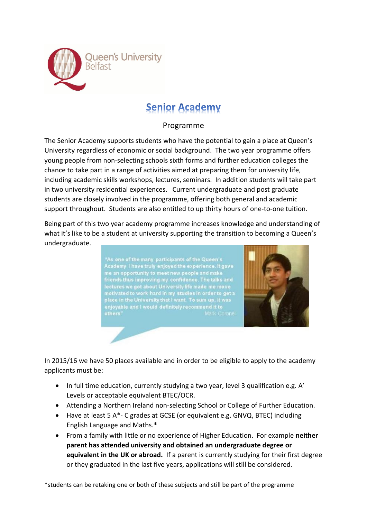

# **Senior Academy**

# Programme

The Senior Academy supports students who have the potential to gain a place at Queen's University regardless of economic or social background. The two year programme offers young people from non-selecting schools sixth forms and further education colleges the chance to take part in a range of activities aimed at preparing them for university life, including academic skills workshops, lectures, seminars. In addition students will take part in two university residential experiences. Current undergraduate and post graduate students are closely involved in the programme, offering both general and academic support throughout. Students are also entitled to up thirty hours of one-to-one tuition.

Being part of this two year academy programme increases knowledge and understanding of what it's like to be a student at university supporting the transition to becoming a Queen's undergraduate.

"As one of the many participants of the Queen's<br>Academy I have truly enjoyed the experience. It gave<br>me an opportunity to meet new people and make<br>friends thus improving my confidence. The talks and<br>lectures we got about U



In 2015/16 we have 50 places available and in order to be eligible to apply to the academy applicants must be:

- In full time education, currently studying a two year, level 3 qualification e.g. A' Levels or acceptable equivalent BTEC/OCR.
- Attending a Northern Ireland non-selecting School or College of Further Education.
- Have at least 5 A\*- C grades at GCSE (or equivalent e.g. GNVQ, BTEC) including English Language and Maths.\*
- From a family with little or no experience of Higher Education. For example **neither parent has attended university and obtained an undergraduate degree or equivalent in the UK or abroad.** If a parent is currently studying for their first degree or they graduated in the last five years, applications will still be considered.

\*students can be retaking one or both of these subjects and still be part of the programme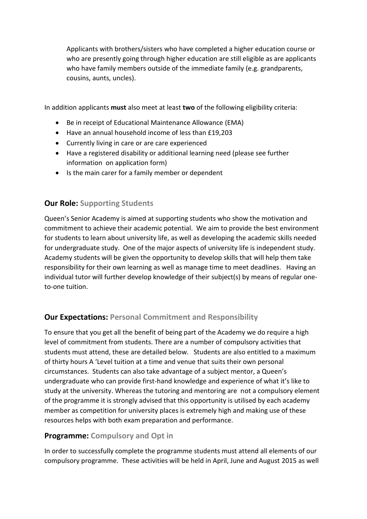Applicants with brothers/sisters who have completed a higher education course or who are presently going through higher education are still eligible as are applicants who have family members outside of the immediate family (e.g. grandparents, cousins, aunts, uncles).

In addition applicants **must** also meet at least **two** of the following eligibility criteria:

- Be in receipt of Educational Maintenance Allowance (EMA)
- Have an annual household income of less than £19,203
- Currently living in care or are care experienced
- Have a registered disability or additional learning need (please see further information on application form)
- Is the main carer for a family member or dependent

### **Our Role: Supporting Students**

Queen's Senior Academy is aimed at supporting students who show the motivation and commitment to achieve their academic potential. We aim to provide the best environment for students to learn about university life, as well as developing the academic skills needed for undergraduate study. One of the major aspects of university life is independent study. Academy students will be given the opportunity to develop skills that will help them take responsibility for their own learning as well as manage time to meet deadlines. Having an individual tutor will further develop knowledge of their subject(s) by means of regular oneto-one tuition.

## **Our Expectations: Personal Commitment and Responsibility**

To ensure that you get all the benefit of being part of the Academy we do require a high level of commitment from students. There are a number of compulsory activities that students must attend, these are detailed below. Students are also entitled to a maximum of thirty hours A 'Level tuition at a time and venue that suits their own personal circumstances. Students can also take advantage of a subject mentor, a Queen's undergraduate who can provide first-hand knowledge and experience of what it's like to study at the university. Whereas the tutoring and mentoring are not a compulsory element of the programme it is strongly advised that this opportunity is utilised by each academy member as competition for university places is extremely high and making use of these resources helps with both exam preparation and performance.

## **Programme: Compulsory and Opt in**

In order to successfully complete the programme students must attend all elements of our compulsory programme. These activities will be held in April, June and August 2015 as well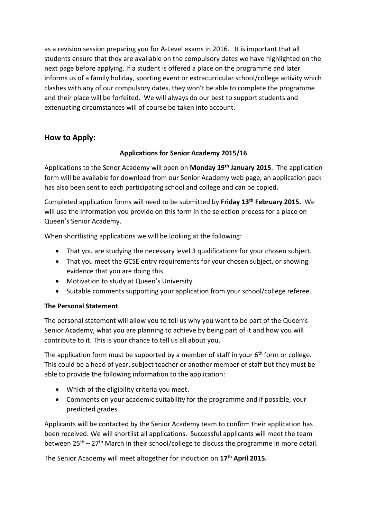as a revision session preparing you for A-Level exams in 2016. It is important that all students ensure that they are available on the compulsory dates we have highlighted on the next page before applying. If a student is offered a place on the programme and later informs us of a family holiday, sporting event or extracurricular school/college activity which clashes with any of our compulsory dates, they won't be able to complete the programme and their place will be forfeited. We will always do our best to support students and extenuating circumstances will of course be taken into account.

# **How to Apply:**

### **Applications for Senior Academy 2015/16**

Applications to the Senor Academy will open on **Monday 19th January 2015**. The application form will be available for download from our Senior Academy web page, an application pack has also been sent to each participating school and college and can be copied.

Completed application forms will need to be submitted by **Friday 13th February 2015.** We will use the information you provide on this form in the selection process for a place on Queen's Senior Academy.

When shortlisting applications we will be looking at the following:

- That you are studying the necessary level 3 qualifications for your chosen subject.
- That you meet the GCSE entry requirements for your chosen subject, or showing evidence that you are doing this.
- Motivation to study at Queen's University.
- Suitable comments supporting your application from your school/college referee.

#### **The Personal Statement**

The personal statement will allow you to tell us why you want to be part of the Queen's Senior Academy, what you are planning to achieve by being part of it and how you will contribute to it. This is your chance to tell us all about you.

The application form must be supported by a member of staff in your 6<sup>th</sup> form or college. This could be a head of year, subject teacher or another member of staff but they must be able to provide the following information to the application:

- Which of the eligibility criteria you meet.
- Comments on your academic suitability for the programme and if possible, your predicted grades.

Applicants will be contacted by the Senior Academy team to confirm their application has been received. We will shortlist all applications. Successful applicants will meet the team between 25<sup>th</sup> – 27<sup>th</sup> March in their school/college to discuss the programme in more detail.

The Senior Academy will meet altogether for induction on **17th April 2015.**